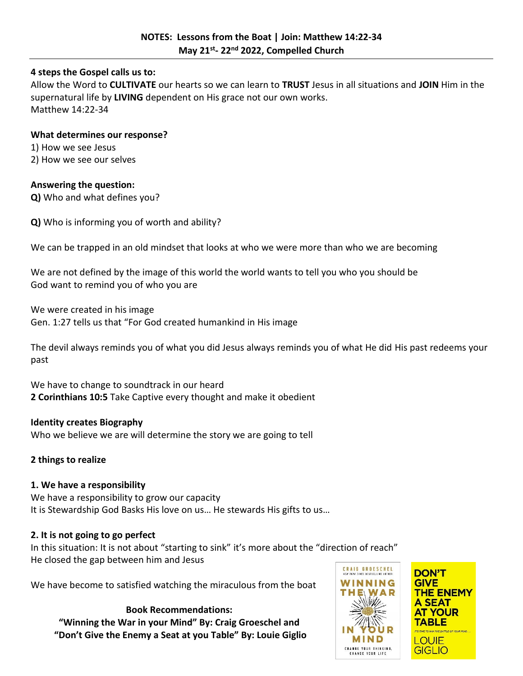### **4 steps the Gospel calls us to:**

Allow the Word to **CULTIVATE** our hearts so we can learn to **TRUST** Jesus in all situations and **JOIN** Him in the supernatural life by **LIVING** dependent on His grace not our own works. Matthew 14:22-34

#### **What determines our response?**

1) How we see Jesus

2) How we see our selves

## **Answering the question:**

**Q)** Who and what defines you?

**Q)** Who is informing you of worth and ability?

We can be trapped in an old mindset that looks at who we were more than who we are becoming

We are not defined by the image of this world the world wants to tell you who you should be God want to remind you of who you are

We were created in his image Gen. 1:27 tells us that "For God created humankind in His image

The devil always reminds you of what you did Jesus always reminds you of what He did His past redeems your past

We have to change to soundtrack in our heard **2 Corinthians 10:5** Take Captive every thought and make it obedient

### **Identity creates Biography**

Who we believe we are will determine the story we are going to tell

# **2 things to realize**

# **1. We have a responsibility**

We have a responsibility to grow our capacity It is Stewardship God Basks His love on us… He stewards His gifts to us…

### **2. It is not going to go perfect**

In this situation: It is not about "starting to sink" it's more about the "direction of reach" He closed the gap between him and Jesus

We have become to satisfied watching the miraculous from the boat

### **Book Recommendations:**

**"Winning the War in your Mind" By: Craig Groeschel and "Don't Give the Enemy a Seat at you Table" By: Louie Giglio**